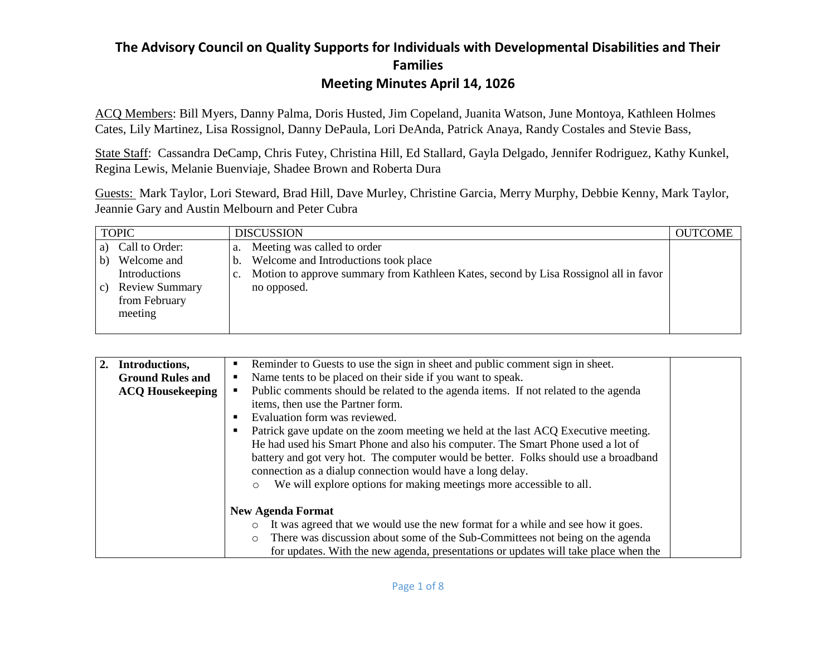ACQ Members: Bill Myers, Danny Palma, Doris Husted, Jim Copeland, Juanita Watson, June Montoya, Kathleen Holmes Cates, Lily Martinez, Lisa Rossignol, Danny DePaula, Lori DeAnda, Patrick Anaya, Randy Costales and Stevie Bass,

State Staff: Cassandra DeCamp, Chris Futey, Christina Hill, Ed Stallard, Gayla Delgado, Jennifer Rodriguez, Kathy Kunkel, Regina Lewis, Melanie Buenviaje, Shadee Brown and Roberta Dura

Guests: Mark Taylor, Lori Steward, Brad Hill, Dave Murley, Christine Garcia, Merry Murphy, Debbie Kenny, Mark Taylor, Jeannie Gary and Austin Melbourn and Peter Cubra

| <b>TOPIC</b>                                                                                                          | <b>DISCUSSION</b>                                                                                                                                                                            | <b>OUTCOME</b> |
|-----------------------------------------------------------------------------------------------------------------------|----------------------------------------------------------------------------------------------------------------------------------------------------------------------------------------------|----------------|
| Call to Order:<br>a)<br>Welcome and<br>b)<br>Introductions<br><b>Review Summary</b><br>C)<br>from February<br>meeting | Meeting was called to order<br>a.<br>Welcome and Introductions took place<br>b.<br>Motion to approve summary from Kathleen Kates, second by Lisa Rossignol all in favor<br>c.<br>no opposed. |                |

| 2.<br>Introductions,    | Reminder to Guests to use the sign in sheet and public comment sign in sheet.<br>٠                    |  |
|-------------------------|-------------------------------------------------------------------------------------------------------|--|
| <b>Ground Rules and</b> | Name tents to be placed on their side if you want to speak.<br>п                                      |  |
| <b>ACQ Housekeeping</b> | Public comments should be related to the agenda items. If not related to the agenda<br>$\blacksquare$ |  |
|                         | items, then use the Partner form.                                                                     |  |
|                         | Evaluation form was reviewed.                                                                         |  |
|                         | Patrick gave update on the zoom meeting we held at the last ACQ Executive meeting.<br>٠               |  |
|                         | He had used his Smart Phone and also his computer. The Smart Phone used a lot of                      |  |
|                         | battery and got very hot. The computer would be better. Folks should use a broadband                  |  |
|                         | connection as a dialup connection would have a long delay.                                            |  |
|                         | We will explore options for making meetings more accessible to all.<br>$\circ$                        |  |
|                         |                                                                                                       |  |
|                         | <b>New Agenda Format</b>                                                                              |  |
|                         | It was agreed that we would use the new format for a while and see how it goes.<br>$\circ$            |  |
|                         | There was discussion about some of the Sub-Committees not being on the agenda<br>$\circ$              |  |
|                         | for updates. With the new agenda, presentations or updates will take place when the                   |  |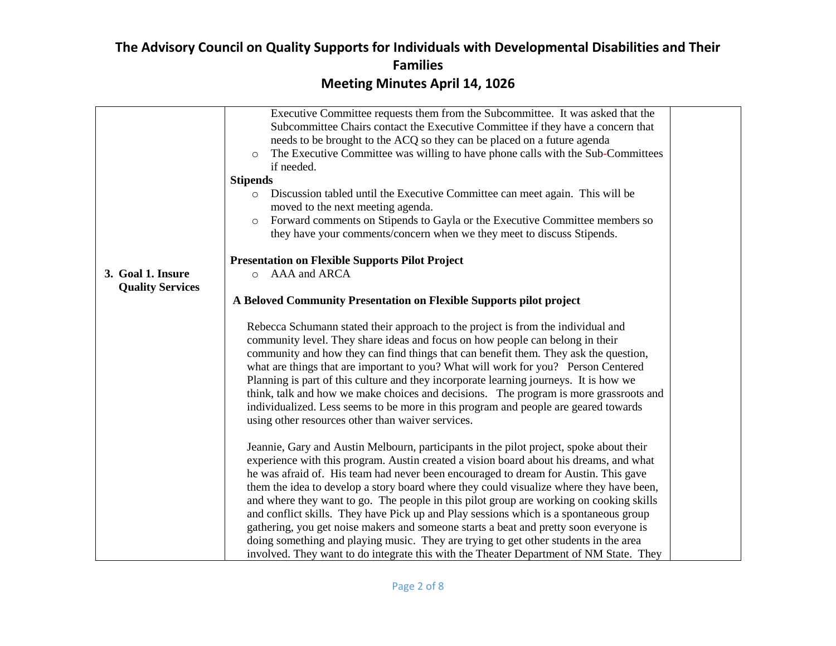|                         | Executive Committee requests them from the Subcommittee. It was asked that the             |
|-------------------------|--------------------------------------------------------------------------------------------|
|                         | Subcommittee Chairs contact the Executive Committee if they have a concern that            |
|                         | needs to be brought to the ACQ so they can be placed on a future agenda                    |
|                         | The Executive Committee was willing to have phone calls with the Sub-Committees<br>$\circ$ |
|                         | if needed.                                                                                 |
|                         | <b>Stipends</b>                                                                            |
|                         | Discussion tabled until the Executive Committee can meet again. This will be<br>$\circ$    |
|                         | moved to the next meeting agenda.                                                          |
|                         | Forward comments on Stipends to Gayla or the Executive Committee members so<br>$\circ$     |
|                         | they have your comments/concern when we they meet to discuss Stipends.                     |
|                         |                                                                                            |
|                         | <b>Presentation on Flexible Supports Pilot Project</b>                                     |
| 3. Goal 1. Insure       | AAA and ARCA<br>$\circ$                                                                    |
| <b>Quality Services</b> |                                                                                            |
|                         | A Beloved Community Presentation on Flexible Supports pilot project                        |
|                         |                                                                                            |
|                         | Rebecca Schumann stated their approach to the project is from the individual and           |
|                         | community level. They share ideas and focus on how people can belong in their              |
|                         | community and how they can find things that can benefit them. They ask the question,       |
|                         | what are things that are important to you? What will work for you? Person Centered         |
|                         | Planning is part of this culture and they incorporate learning journeys. It is how we      |
|                         | think, talk and how we make choices and decisions. The program is more grassroots and      |
|                         | individualized. Less seems to be more in this program and people are geared towards        |
|                         | using other resources other than waiver services.                                          |
|                         |                                                                                            |
|                         | Jeannie, Gary and Austin Melbourn, participants in the pilot project, spoke about their    |
|                         | experience with this program. Austin created a vision board about his dreams, and what     |
|                         | he was afraid of. His team had never been encouraged to dream for Austin. This gave        |
|                         | them the idea to develop a story board where they could visualize where they have been,    |
|                         | and where they want to go. The people in this pilot group are working on cooking skills    |
|                         |                                                                                            |
|                         | and conflict skills. They have Pick up and Play sessions which is a spontaneous group      |
|                         | gathering, you get noise makers and someone starts a beat and pretty soon everyone is      |
|                         | doing something and playing music. They are trying to get other students in the area       |
|                         | involved. They want to do integrate this with the Theater Department of NM State. They     |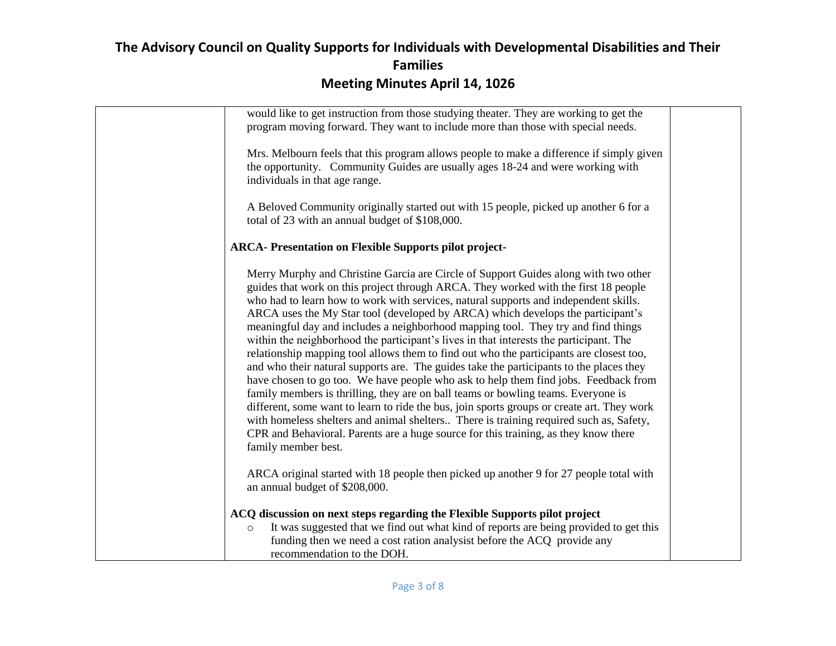| would like to get instruction from those studying theater. They are working to get the<br>program moving forward. They want to include more than those with special needs.                                                                                                                                                                                                                                                                                                                                                                                                                                                                                                                                                                                                                                                                                                                                                                                                                                                                                                                                                                                                                                   |  |
|--------------------------------------------------------------------------------------------------------------------------------------------------------------------------------------------------------------------------------------------------------------------------------------------------------------------------------------------------------------------------------------------------------------------------------------------------------------------------------------------------------------------------------------------------------------------------------------------------------------------------------------------------------------------------------------------------------------------------------------------------------------------------------------------------------------------------------------------------------------------------------------------------------------------------------------------------------------------------------------------------------------------------------------------------------------------------------------------------------------------------------------------------------------------------------------------------------------|--|
| Mrs. Melbourn feels that this program allows people to make a difference if simply given<br>the opportunity. Community Guides are usually ages 18-24 and were working with<br>individuals in that age range.                                                                                                                                                                                                                                                                                                                                                                                                                                                                                                                                                                                                                                                                                                                                                                                                                                                                                                                                                                                                 |  |
| A Beloved Community originally started out with 15 people, picked up another 6 for a<br>total of 23 with an annual budget of \$108,000.                                                                                                                                                                                                                                                                                                                                                                                                                                                                                                                                                                                                                                                                                                                                                                                                                                                                                                                                                                                                                                                                      |  |
| <b>ARCA-</b> Presentation on Flexible Supports pilot project-                                                                                                                                                                                                                                                                                                                                                                                                                                                                                                                                                                                                                                                                                                                                                                                                                                                                                                                                                                                                                                                                                                                                                |  |
| Merry Murphy and Christine Garcia are Circle of Support Guides along with two other<br>guides that work on this project through ARCA. They worked with the first 18 people<br>who had to learn how to work with services, natural supports and independent skills.<br>ARCA uses the My Star tool (developed by ARCA) which develops the participant's<br>meaningful day and includes a neighborhood mapping tool. They try and find things<br>within the neighborhood the participant's lives in that interests the participant. The<br>relationship mapping tool allows them to find out who the participants are closest too,<br>and who their natural supports are. The guides take the participants to the places they<br>have chosen to go too. We have people who ask to help them find jobs. Feedback from<br>family members is thrilling, they are on ball teams or bowling teams. Everyone is<br>different, some want to learn to ride the bus, join sports groups or create art. They work<br>with homeless shelters and animal shelters There is training required such as, Safety,<br>CPR and Behavioral. Parents are a huge source for this training, as they know there<br>family member best. |  |
| ARCA original started with 18 people then picked up another 9 for 27 people total with<br>an annual budget of \$208,000.                                                                                                                                                                                                                                                                                                                                                                                                                                                                                                                                                                                                                                                                                                                                                                                                                                                                                                                                                                                                                                                                                     |  |
| ACQ discussion on next steps regarding the Flexible Supports pilot project<br>It was suggested that we find out what kind of reports are being provided to get this<br>$\circ$<br>funding then we need a cost ration analysist before the ACQ provide any<br>recommendation to the DOH.                                                                                                                                                                                                                                                                                                                                                                                                                                                                                                                                                                                                                                                                                                                                                                                                                                                                                                                      |  |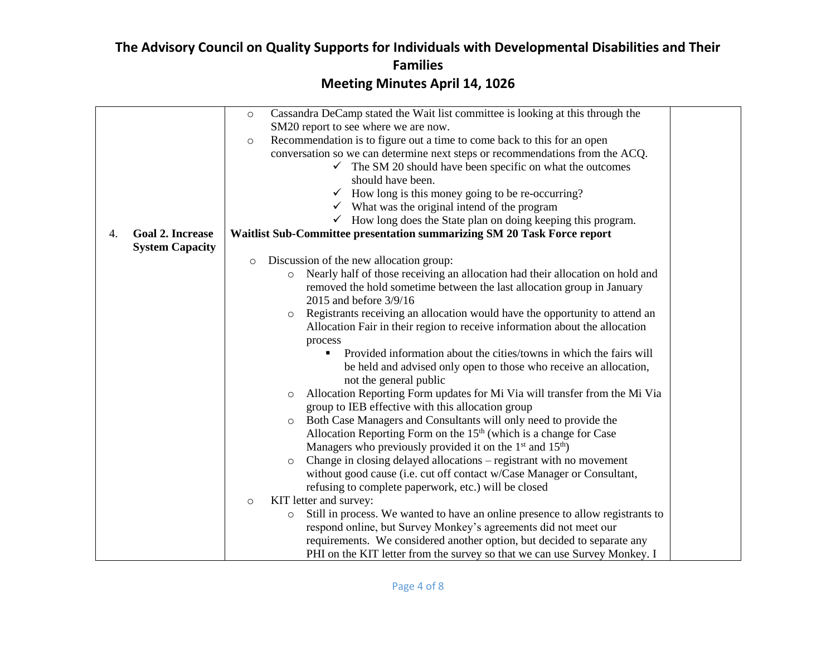|    |                         | Cassandra DeCamp stated the Wait list committee is looking at this through the<br>$\circ$ |  |
|----|-------------------------|-------------------------------------------------------------------------------------------|--|
|    |                         | SM20 report to see where we are now.                                                      |  |
|    |                         | Recommendation is to figure out a time to come back to this for an open<br>$\circ$        |  |
|    |                         | conversation so we can determine next steps or recommendations from the ACQ.              |  |
|    |                         | The SM 20 should have been specific on what the outcomes<br>$\checkmark$                  |  |
|    |                         | should have been.                                                                         |  |
|    |                         | $\checkmark$ How long is this money going to be re-occurring?                             |  |
|    |                         | $\checkmark$ What was the original intend of the program                                  |  |
|    |                         | $\checkmark$ How long does the State plan on doing keeping this program.                  |  |
| 4. | <b>Goal 2. Increase</b> | Waitlist Sub-Committee presentation summarizing SM 20 Task Force report                   |  |
|    | <b>System Capacity</b>  |                                                                                           |  |
|    |                         | Discussion of the new allocation group:<br>$\circ$                                        |  |
|    |                         | Nearly half of those receiving an allocation had their allocation on hold and<br>$\circ$  |  |
|    |                         | removed the hold sometime between the last allocation group in January                    |  |
|    |                         | 2015 and before 3/9/16                                                                    |  |
|    |                         | Registrants receiving an allocation would have the opportunity to attend an<br>O          |  |
|    |                         | Allocation Fair in their region to receive information about the allocation               |  |
|    |                         | process                                                                                   |  |
|    |                         | Provided information about the cities/towns in which the fairs will                       |  |
|    |                         | be held and advised only open to those who receive an allocation,                         |  |
|    |                         | not the general public                                                                    |  |
|    |                         | Allocation Reporting Form updates for Mi Via will transfer from the Mi Via<br>$\circ$     |  |
|    |                         | group to IEB effective with this allocation group                                         |  |
|    |                         | Both Case Managers and Consultants will only need to provide the                          |  |
|    |                         | O                                                                                         |  |
|    |                         | Allocation Reporting Form on the $15th$ (which is a change for Case                       |  |
|    |                         | Managers who previously provided it on the $1st$ and $15th$ )                             |  |
|    |                         | Change in closing delayed allocations – registrant with no movement<br>$\circ$            |  |
|    |                         | without good cause (i.e. cut off contact w/Case Manager or Consultant,                    |  |
|    |                         | refusing to complete paperwork, etc.) will be closed                                      |  |
|    |                         | KIT letter and survey:<br>$\circ$                                                         |  |
|    |                         | Still in process. We wanted to have an online presence to allow registrants to<br>$\circ$ |  |
|    |                         | respond online, but Survey Monkey's agreements did not meet our                           |  |
|    |                         | requirements. We considered another option, but decided to separate any                   |  |
|    |                         | PHI on the KIT letter from the survey so that we can use Survey Monkey. I                 |  |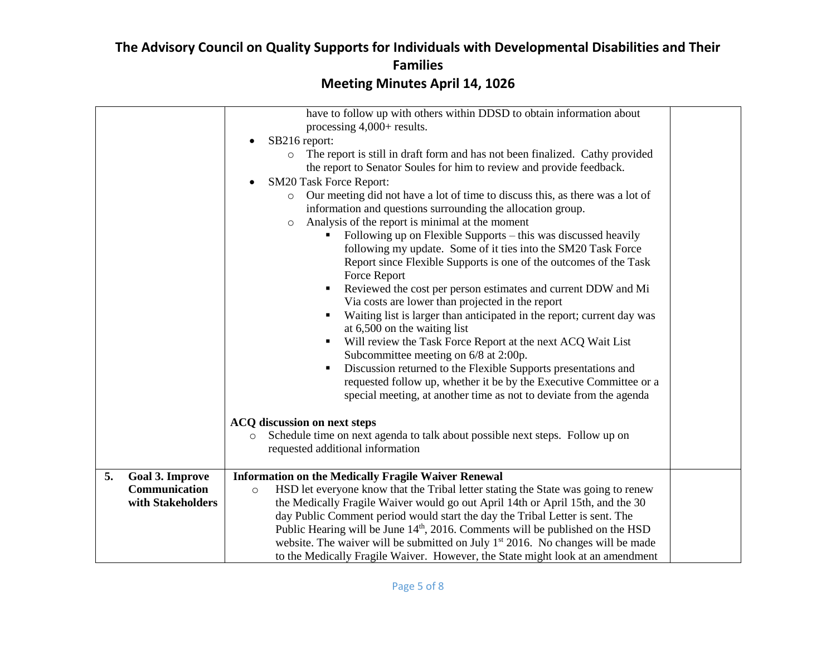|                              | have to follow up with others within DDSD to obtain information about<br>processing $4,000+$ results.<br>SB216 report:<br>The report is still in draft form and has not been finalized. Cathy provided<br>$\circ$<br>the report to Senator Soules for him to review and provide feedback.<br><b>SM20 Task Force Report:</b><br>Our meeting did not have a lot of time to discuss this, as there was a lot of<br>$\circ$<br>information and questions surrounding the allocation group.<br>Analysis of the report is minimal at the moment<br>$\circ$<br>Following up on Flexible Supports – this was discussed heavily<br>following my update. Some of it ties into the SM20 Task Force<br>Report since Flexible Supports is one of the outcomes of the Task<br>Force Report<br>Reviewed the cost per person estimates and current DDW and Mi<br>Via costs are lower than projected in the report<br>Waiting list is larger than anticipated in the report; current day was<br>at 6,500 on the waiting list<br>Will review the Task Force Report at the next ACQ Wait List<br>Subcommittee meeting on 6/8 at 2:00p.<br>Discussion returned to the Flexible Supports presentations and<br>requested follow up, whether it be by the Executive Committee or a<br>special meeting, at another time as not to deviate from the agenda<br><b>ACQ</b> discussion on next steps<br>Schedule time on next agenda to talk about possible next steps. Follow up on<br>requested additional information |  |
|------------------------------|----------------------------------------------------------------------------------------------------------------------------------------------------------------------------------------------------------------------------------------------------------------------------------------------------------------------------------------------------------------------------------------------------------------------------------------------------------------------------------------------------------------------------------------------------------------------------------------------------------------------------------------------------------------------------------------------------------------------------------------------------------------------------------------------------------------------------------------------------------------------------------------------------------------------------------------------------------------------------------------------------------------------------------------------------------------------------------------------------------------------------------------------------------------------------------------------------------------------------------------------------------------------------------------------------------------------------------------------------------------------------------------------------------------------------------------------------------------------------------------------|--|
| 5.<br><b>Goal 3. Improve</b> | <b>Information on the Medically Fragile Waiver Renewal</b>                                                                                                                                                                                                                                                                                                                                                                                                                                                                                                                                                                                                                                                                                                                                                                                                                                                                                                                                                                                                                                                                                                                                                                                                                                                                                                                                                                                                                                   |  |
| Communication                | HSD let everyone know that the Tribal letter stating the State was going to renew<br>$\circ$                                                                                                                                                                                                                                                                                                                                                                                                                                                                                                                                                                                                                                                                                                                                                                                                                                                                                                                                                                                                                                                                                                                                                                                                                                                                                                                                                                                                 |  |
| with Stakeholders            | the Medically Fragile Waiver would go out April 14th or April 15th, and the 30                                                                                                                                                                                                                                                                                                                                                                                                                                                                                                                                                                                                                                                                                                                                                                                                                                                                                                                                                                                                                                                                                                                                                                                                                                                                                                                                                                                                               |  |
|                              | day Public Comment period would start the day the Tribal Letter is sent. The<br>Public Hearing will be June $14th$ , 2016. Comments will be published on the HSD                                                                                                                                                                                                                                                                                                                                                                                                                                                                                                                                                                                                                                                                                                                                                                                                                                                                                                                                                                                                                                                                                                                                                                                                                                                                                                                             |  |
|                              | website. The waiver will be submitted on July 1 <sup>st</sup> 2016. No changes will be made                                                                                                                                                                                                                                                                                                                                                                                                                                                                                                                                                                                                                                                                                                                                                                                                                                                                                                                                                                                                                                                                                                                                                                                                                                                                                                                                                                                                  |  |
|                              | to the Medically Fragile Waiver. However, the State might look at an amendment                                                                                                                                                                                                                                                                                                                                                                                                                                                                                                                                                                                                                                                                                                                                                                                                                                                                                                                                                                                                                                                                                                                                                                                                                                                                                                                                                                                                               |  |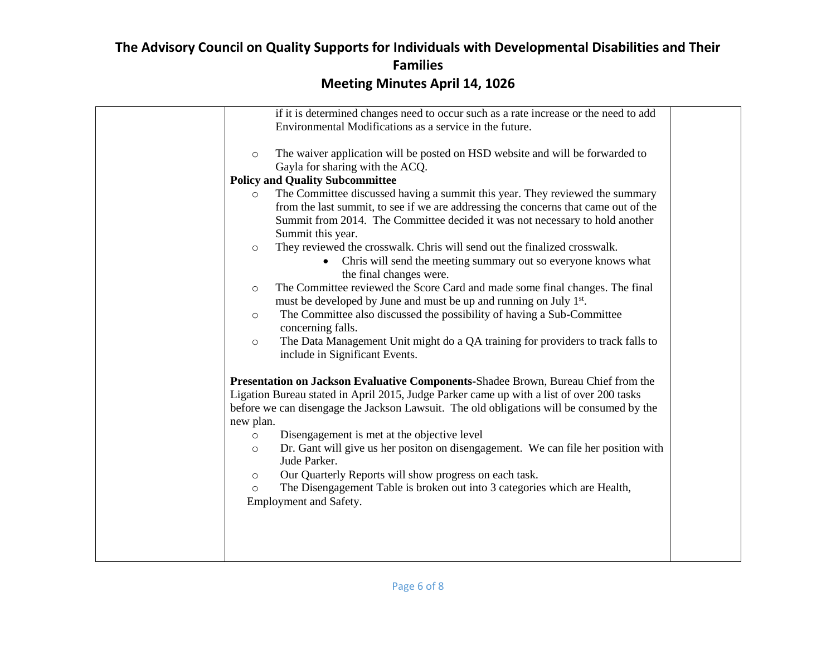| if it is determined changes need to occur such as a rate increase or the need to add         |  |
|----------------------------------------------------------------------------------------------|--|
| Environmental Modifications as a service in the future.                                      |  |
|                                                                                              |  |
| The waiver application will be posted on HSD website and will be forwarded to<br>$\circ$     |  |
| Gayla for sharing with the ACQ.                                                              |  |
| <b>Policy and Quality Subcommittee</b>                                                       |  |
| The Committee discussed having a summit this year. They reviewed the summary<br>$\circ$      |  |
| from the last summit, to see if we are addressing the concerns that came out of the          |  |
| Summit from 2014. The Committee decided it was not necessary to hold another                 |  |
| Summit this year.                                                                            |  |
| They reviewed the crosswalk. Chris will send out the finalized crosswalk.                    |  |
| $\circ$                                                                                      |  |
| • Chris will send the meeting summary out so everyone knows what                             |  |
| the final changes were.                                                                      |  |
| The Committee reviewed the Score Card and made some final changes. The final<br>$\circ$      |  |
| must be developed by June and must be up and running on July 1 <sup>st</sup> .               |  |
| The Committee also discussed the possibility of having a Sub-Committee<br>$\circ$            |  |
| concerning falls.                                                                            |  |
| The Data Management Unit might do a QA training for providers to track falls to<br>$\circ$   |  |
| include in Significant Events.                                                               |  |
|                                                                                              |  |
| Presentation on Jackson Evaluative Components-Shadee Brown, Bureau Chief from the            |  |
| Ligation Bureau stated in April 2015, Judge Parker came up with a list of over 200 tasks     |  |
| before we can disengage the Jackson Lawsuit. The old obligations will be consumed by the     |  |
| new plan.                                                                                    |  |
| Disengagement is met at the objective level<br>$\circ$                                       |  |
| Dr. Gant will give us her positon on disengagement. We can file her position with<br>$\circ$ |  |
| Jude Parker.                                                                                 |  |
| Our Quarterly Reports will show progress on each task.<br>$\circ$                            |  |
| The Disengagement Table is broken out into 3 categories which are Health,<br>$\circ$         |  |
| Employment and Safety.                                                                       |  |
|                                                                                              |  |
|                                                                                              |  |
|                                                                                              |  |
|                                                                                              |  |
|                                                                                              |  |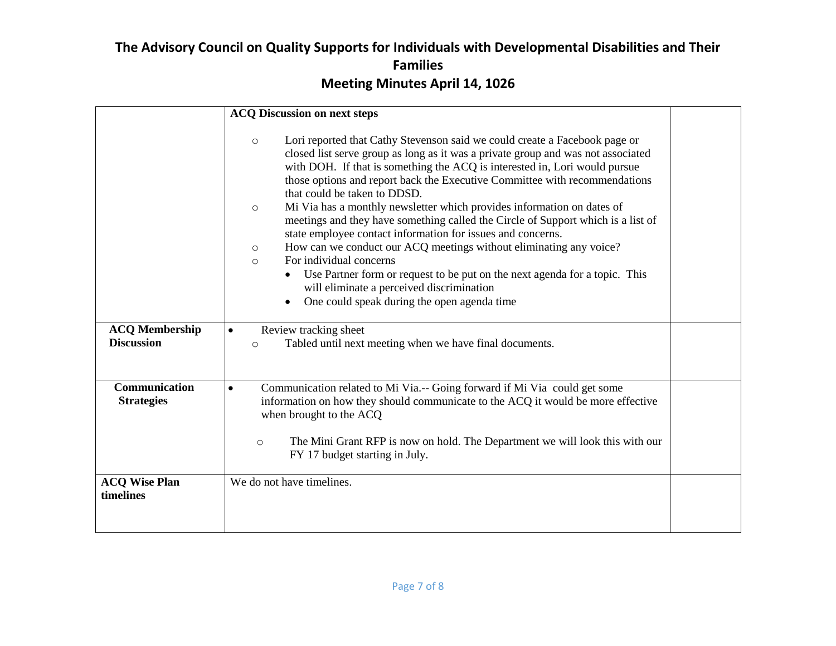|                                           | <b>ACQ Discussion on next steps</b>                                                                                                                                                                                                                                                                                                                                                                                                                                                                                                                                                                                                                                                                                                                                                                                                                                                                            |  |
|-------------------------------------------|----------------------------------------------------------------------------------------------------------------------------------------------------------------------------------------------------------------------------------------------------------------------------------------------------------------------------------------------------------------------------------------------------------------------------------------------------------------------------------------------------------------------------------------------------------------------------------------------------------------------------------------------------------------------------------------------------------------------------------------------------------------------------------------------------------------------------------------------------------------------------------------------------------------|--|
|                                           | Lori reported that Cathy Stevenson said we could create a Facebook page or<br>$\circ$<br>closed list serve group as long as it was a private group and was not associated<br>with DOH. If that is something the ACQ is interested in, Lori would pursue<br>those options and report back the Executive Committee with recommendations<br>that could be taken to DDSD.<br>Mi Via has a monthly newsletter which provides information on dates of<br>$\circ$<br>meetings and they have something called the Circle of Support which is a list of<br>state employee contact information for issues and concerns.<br>How can we conduct our ACQ meetings without eliminating any voice?<br>$\circ$<br>For individual concerns<br>$\circ$<br>Use Partner form or request to be put on the next agenda for a topic. This<br>will eliminate a perceived discrimination<br>One could speak during the open agenda time |  |
| <b>ACQ Membership</b>                     |                                                                                                                                                                                                                                                                                                                                                                                                                                                                                                                                                                                                                                                                                                                                                                                                                                                                                                                |  |
| <b>Discussion</b>                         | Review tracking sheet<br>$\bullet$<br>Tabled until next meeting when we have final documents.<br>$\circ$                                                                                                                                                                                                                                                                                                                                                                                                                                                                                                                                                                                                                                                                                                                                                                                                       |  |
| <b>Communication</b><br><b>Strategies</b> | Communication related to Mi Via.-- Going forward if Mi Via could get some<br>$\bullet$<br>information on how they should communicate to the ACQ it would be more effective<br>when brought to the ACQ<br>The Mini Grant RFP is now on hold. The Department we will look this with our<br>$\circ$<br>FY 17 budget starting in July.                                                                                                                                                                                                                                                                                                                                                                                                                                                                                                                                                                             |  |
| <b>ACQ Wise Plan</b><br>timelines         | We do not have timelines.                                                                                                                                                                                                                                                                                                                                                                                                                                                                                                                                                                                                                                                                                                                                                                                                                                                                                      |  |